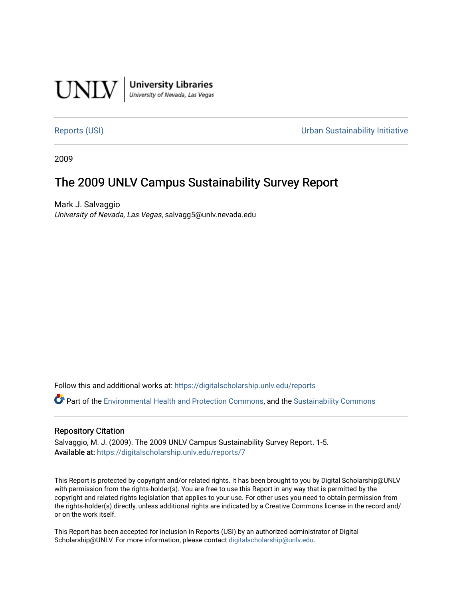

**University Libraries**<br>University of Nevada, Las Vegas

[Reports \(USI\)](https://digitalscholarship.unlv.edu/reports) [Urban Sustainability Initiative](https://digitalscholarship.unlv.edu/sustainability) 

2009

# The 2009 UNLV Campus Sustainability Survey Report

Mark J. Salvaggio University of Nevada, Las Vegas, salvagg5@unlv.nevada.edu

Follow this and additional works at: [https://digitalscholarship.unlv.edu/reports](https://digitalscholarship.unlv.edu/reports?utm_source=digitalscholarship.unlv.edu%2Freports%2F7&utm_medium=PDF&utm_campaign=PDFCoverPages) 

Part of the [Environmental Health and Protection Commons,](http://network.bepress.com/hgg/discipline/172?utm_source=digitalscholarship.unlv.edu%2Freports%2F7&utm_medium=PDF&utm_campaign=PDFCoverPages) and the [Sustainability Commons](http://network.bepress.com/hgg/discipline/1031?utm_source=digitalscholarship.unlv.edu%2Freports%2F7&utm_medium=PDF&utm_campaign=PDFCoverPages) 

## Repository Citation

Salvaggio, M. J. (2009). The 2009 UNLV Campus Sustainability Survey Report. 1-5. Available at: <https://digitalscholarship.unlv.edu/reports/7>

This Report is protected by copyright and/or related rights. It has been brought to you by Digital Scholarship@UNLV with permission from the rights-holder(s). You are free to use this Report in any way that is permitted by the copyright and related rights legislation that applies to your use. For other uses you need to obtain permission from the rights-holder(s) directly, unless additional rights are indicated by a Creative Commons license in the record and/ or on the work itself.

This Report has been accepted for inclusion in Reports (USI) by an authorized administrator of Digital Scholarship@UNLV. For more information, please contact [digitalscholarship@unlv.edu.](mailto:digitalscholarship@unlv.edu)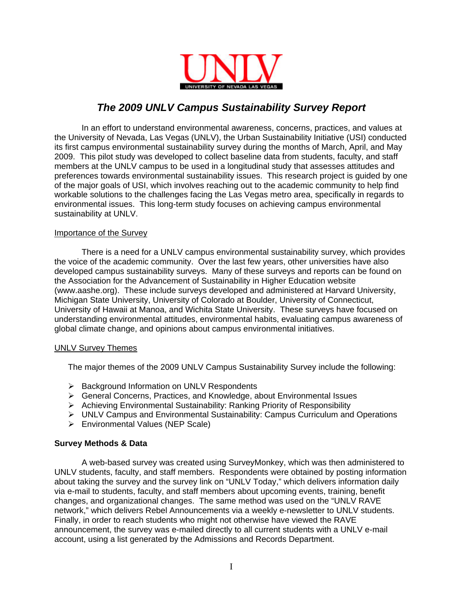

## *The 2009 UNLV Campus Sustainability Survey Report*

In an effort to understand environmental awareness, concerns, practices, and values at the University of Nevada, Las Vegas (UNLV), the Urban Sustainability Initiative (USI) conducted its first campus environmental sustainability survey during the months of March, April, and May 2009. This pilot study was developed to collect baseline data from students, faculty, and staff members at the UNLV campus to be used in a longitudinal study that assesses attitudes and preferences towards environmental sustainability issues. This research project is guided by one of the major goals of USI, which involves reaching out to the academic community to help find workable solutions to the challenges facing the Las Vegas metro area, specifically in regards to environmental issues. This long-term study focuses on achieving campus environmental sustainability at UNLV.

#### Importance of the Survey

There is a need for a UNLV campus environmental sustainability survey, which provides the voice of the academic community. Over the last few years, other universities have also developed campus sustainability surveys. Many of these surveys and reports can be found on the Association for the Advancement of Sustainability in Higher Education website (www.aashe.org). These include surveys developed and administered at Harvard University, Michigan State University, University of Colorado at Boulder, University of Connecticut, University of Hawaii at Manoa, and Wichita State University. These surveys have focused on understanding environmental attitudes, environmental habits, evaluating campus awareness of global climate change, and opinions about campus environmental initiatives.

#### UNLV Survey Themes

The major themes of the 2009 UNLV Campus Sustainability Survey include the following:

- ¾ Background Information on UNLV Respondents
- ¾ General Concerns, Practices, and Knowledge, about Environmental Issues
- ¾ Achieving Environmental Sustainability: Ranking Priority of Responsibility
- $\triangleright$  UNLV Campus and Environmental Sustainability: Campus Curriculum and Operations
- ¾ Environmental Values (NEP Scale)

#### **Survey Methods & Data**

A web-based survey was created using SurveyMonkey, which was then administered to UNLV students, faculty, and staff members. Respondents were obtained by posting information about taking the survey and the survey link on "UNLV Today," which delivers information daily via e-mail to students, faculty, and staff members about upcoming events, training, benefit changes, and organizational changes. The same method was used on the "UNLV RAVE network," which delivers Rebel Announcements via a weekly e-newsletter to UNLV students. Finally, in order to reach students who might not otherwise have viewed the RAVE announcement, the survey was e-mailed directly to all current students with a UNLV e-mail account, using a list generated by the Admissions and Records Department.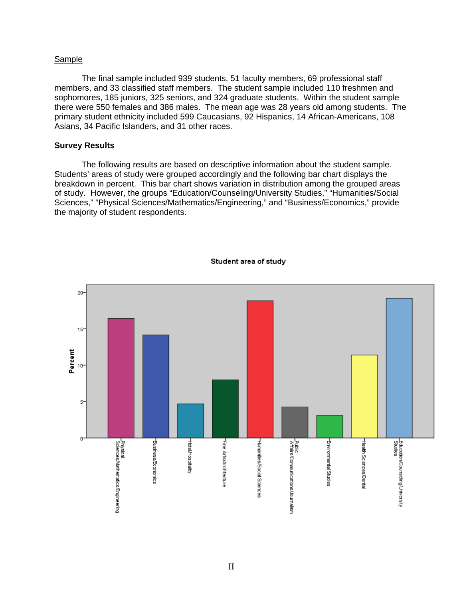#### Sample

The final sample included 939 students, 51 faculty members, 69 professional staff members, and 33 classified staff members. The student sample included 110 freshmen and sophomores, 185 juniors, 325 seniors, and 324 graduate students. Within the student sample there were 550 females and 386 males. The mean age was 28 years old among students. The primary student ethnicity included 599 Caucasians, 92 Hispanics, 14 African-Americans, 108 Asians, 34 Pacific Islanders, and 31 other races.

#### **Survey Results**

 The following results are based on descriptive information about the student sample. Students' areas of study were grouped accordingly and the following bar chart displays the breakdown in percent. This bar chart shows variation in distribution among the grouped areas of study. However, the groups "Education/Counseling/University Studies," "Humanities/Social Sciences," "Physical Sciences/Mathematics/Engineering," and "Business/Economics," provide the majority of student respondents.



#### Student area of study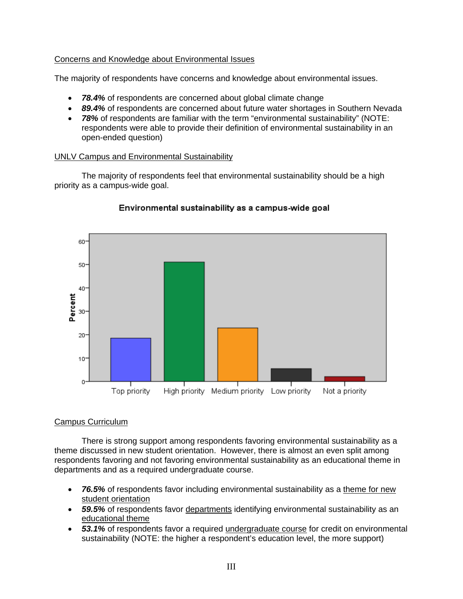## Concerns and Knowledge about Environmental Issues

The majority of respondents have concerns and knowledge about environmental issues.

- 78.4% of respondents are concerned about global climate change
- *89.4%* of respondents are concerned about future water shortages in Southern Nevada
- *78%* of respondents are familiar with the term "environmental sustainability" (NOTE: respondents were able to provide their definition of environmental sustainability in an open-ended question)

## UNLV Campus and Environmental Sustainability

 The majority of respondents feel that environmental sustainability should be a high priority as a campus-wide goal.



## Environmental sustainability as a campus-wide goal

## Campus Curriculum

 There is strong support among respondents favoring environmental sustainability as a theme discussed in new student orientation. However, there is almost an even split among respondents favoring and not favoring environmental sustainability as an educational theme in departments and as a required undergraduate course.

- *76.5%* of respondents favor including environmental sustainability as a theme for new student orientation
- *59.5%* of respondents favor departments identifying environmental sustainability as an educational theme
- *53.1%* of respondents favor a required undergraduate course for credit on environmental sustainability (NOTE: the higher a respondent's education level, the more support)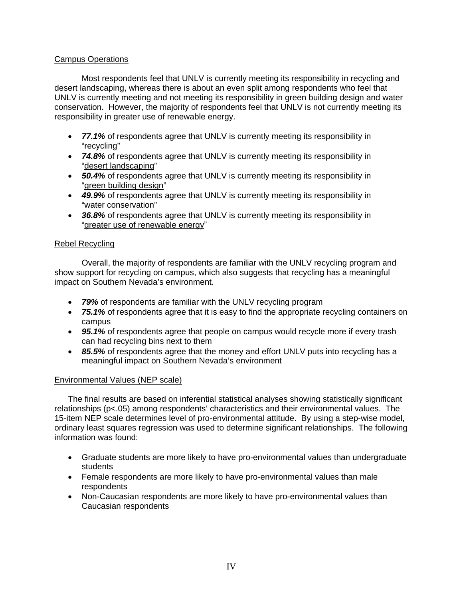## Campus Operations

 Most respondents feel that UNLV is currently meeting its responsibility in recycling and desert landscaping, whereas there is about an even split among respondents who feel that UNLV is currently meeting and not meeting its responsibility in green building design and water conservation. However, the majority of respondents feel that UNLV is not currently meeting its responsibility in greater use of renewable energy.

- *77.1%* of respondents agree that UNLV is currently meeting its responsibility in "recycling"
- *74.8%* of respondents agree that UNLV is currently meeting its responsibility in "desert landscaping"
- *50.4%* of respondents agree that UNLV is currently meeting its responsibility in "green building design"
- *49.9%* of respondents agree that UNLV is currently meeting its responsibility in "water conservation"
- *36.8%* of respondents agree that UNLV is currently meeting its responsibility in "greater use of renewable energy"

### Rebel Recycling

 Overall, the majority of respondents are familiar with the UNLV recycling program and show support for recycling on campus, which also suggests that recycling has a meaningful impact on Southern Nevada's environment.

- *79%* of respondents are familiar with the UNLV recycling program
- 75.1% of respondents agree that it is easy to find the appropriate recycling containers on campus
- *95.1%* of respondents agree that people on campus would recycle more if every trash can had recycling bins next to them
- 85.5% of respondents agree that the money and effort UNLV puts into recycling has a meaningful impact on Southern Nevada's environment

## Environmental Values (NEP scale)

The final results are based on inferential statistical analyses showing statistically significant relationships (p<.05) among respondents' characteristics and their environmental values. The 15-item NEP scale determines level of pro-environmental attitude. By using a step-wise model, ordinary least squares regression was used to determine significant relationships. The following information was found:

- Graduate students are more likely to have pro-environmental values than undergraduate students
- Female respondents are more likely to have pro-environmental values than male respondents
- Non-Caucasian respondents are more likely to have pro-environmental values than Caucasian respondents